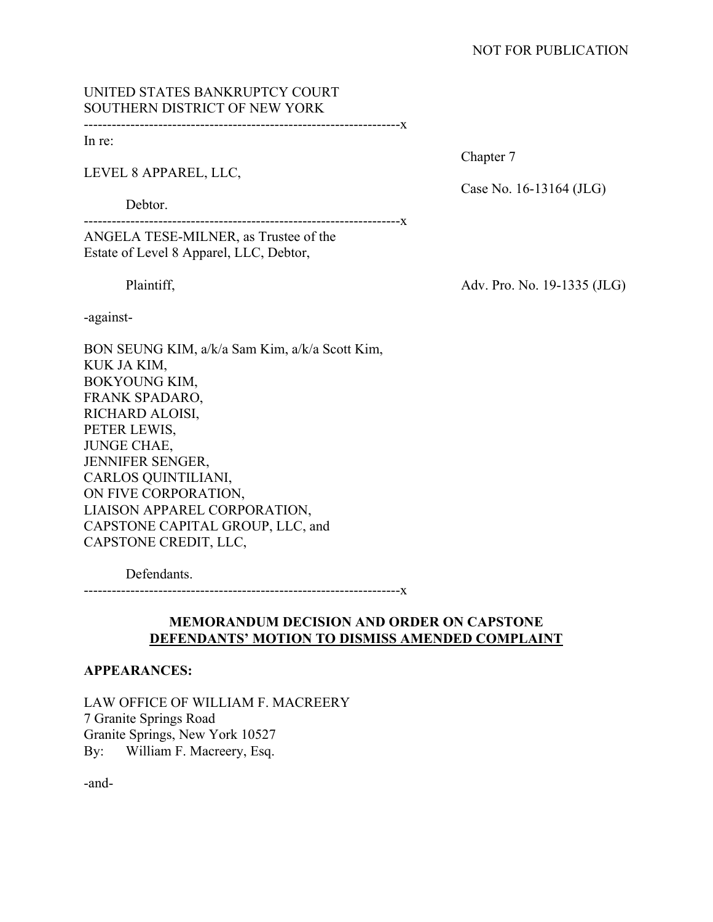# UNITED STATES BANKRUPTCY COURT SOUTHERN DISTRICT OF NEW YORK

--------------------------------------------------------------------x

In re:

LEVEL 8 APPAREL, LLC,

Debtor.

--------------------------------------------------------------------x

ANGELA TESE-MILNER, as Trustee of the Estate of Level 8 Apparel, LLC, Debtor,

-against-

BON SEUNG KIM, a/k/a Sam Kim, a/k/a Scott Kim, KUK JA KIM, BOKYOUNG KIM, FRANK SPADARO, RICHARD ALOISI, PETER LEWIS, JUNGE CHAE, JENNIFER SENGER, CARLOS QUINTILIANI, ON FIVE CORPORATION, LIAISON APPAREL CORPORATION, CAPSTONE CAPITAL GROUP, LLC, and CAPSTONE CREDIT, LLC,

Defendants.

--------------------------------------------------------------------x

# **MEMORANDUM DECISION AND ORDER ON CAPSTONE DEFENDANTS' MOTION TO DISMISS AMENDED COMPLAINT**

## **APPEARANCES:**

LAW OFFICE OF WILLIAM F. MACREERY 7 Granite Springs Road Granite Springs, New York 10527 By: William F. Macreery, Esq.

-and-

Chapter 7

Case No. 16-13164 (JLG)

Plaintiff,  $\frac{\text{Adv. Pro. No. 19-1335 (JLG)}}{3}$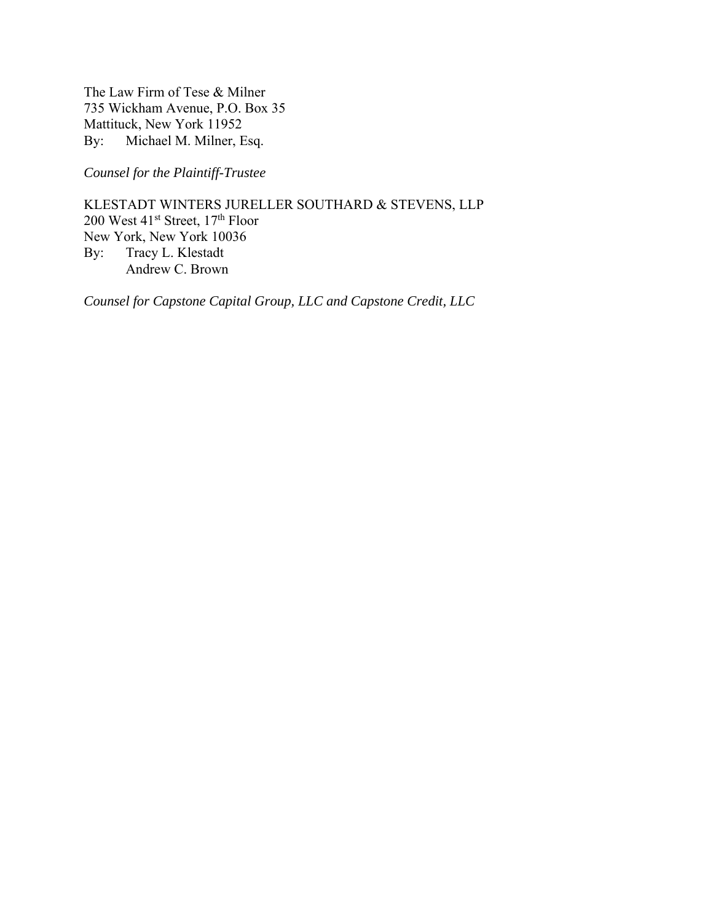The Law Firm of Tese & Milner 735 Wickham Avenue, P.O. Box 35 Mattituck, New York 11952 By: Michael M. Milner, Esq.

*Counsel for the Plaintiff-Trustee* 

KLESTADT WINTERS JURELLER SOUTHARD & STEVENS, LLP 200 West 41<sup>st</sup> Street, 17<sup>th</sup> Floor New York, New York 10036 By: Tracy L. Klestadt Andrew C. Brown

*Counsel for Capstone Capital Group, LLC and Capstone Credit, LLC*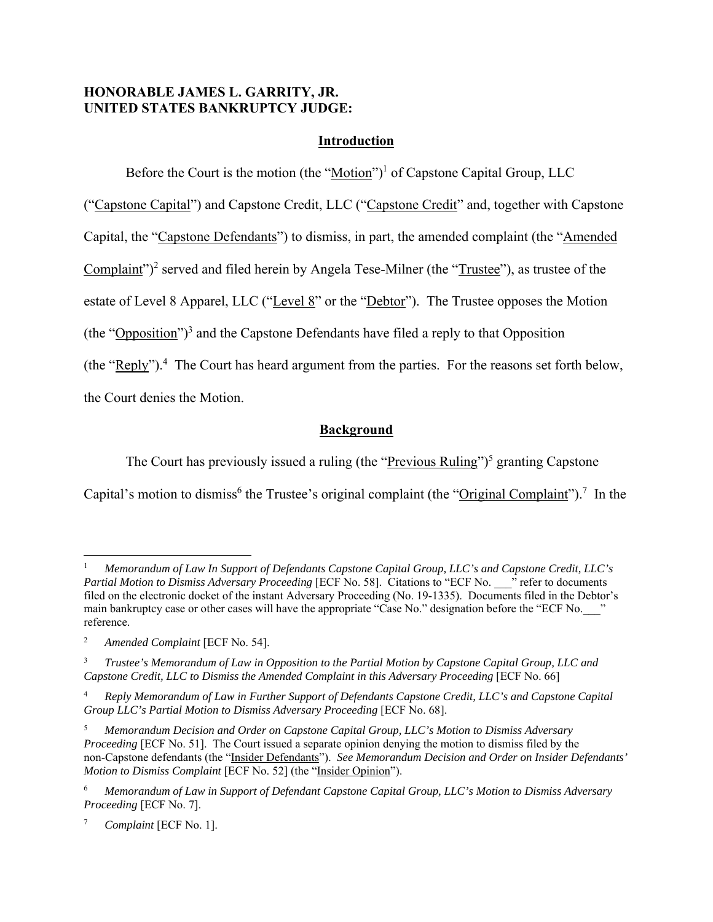# **HONORABLE JAMES L. GARRITY, JR. UNITED STATES BANKRUPTCY JUDGE:**

# **Introduction**

Before the Court is the motion (the "Motion")<sup>1</sup> of Capstone Capital Group, LLC

("Capstone Capital") and Capstone Credit, LLC ("Capstone Credit" and, together with Capstone

Capital, the "Capstone Defendants") to dismiss, in part, the amended complaint (the "Amended

Complaint")<sup>2</sup> served and filed herein by Angela Tese-Milner (the " $\overline{\text{Trustee}}$ "), as trustee of the

estate of Level 8 Apparel, LLC ("Level 8" or the "Debtor"). The Trustee opposes the Motion

(the "Opposition")<sup>3</sup> and the Capstone Defendants have filed a reply to that Opposition

(the " $\text{Reply}$ ").<sup>4</sup> The Court has heard argument from the parties. For the reasons set forth below,

the Court denies the Motion.

# **Background**

The Court has previously issued a ruling (the "Previous Ruling")<sup>5</sup> granting Capstone Capital's motion to dismiss<sup>6</sup> the Trustee's original complaint (the "Original Complaint").<sup>7</sup> In the

<sup>1</sup> *Memorandum of Law In Support of Defendants Capstone Capital Group, LLC's and Capstone Credit, LLC's Partial Motion to Dismiss Adversary Proceeding* [ECF No. 58]. Citations to "ECF No. \_\_\_<sup>"</sup> refer to documents filed on the electronic docket of the instant Adversary Proceeding (No. 19-1335). Documents filed in the Debtor's main bankruptcy case or other cases will have the appropriate "Case No." designation before the "ECF No. \_\_\_" reference.

<sup>2</sup> *Amended Complaint* [ECF No. 54].

<sup>3</sup> *Trustee's Memorandum of Law in Opposition to the Partial Motion by Capstone Capital Group, LLC and Capstone Credit, LLC to Dismiss the Amended Complaint in this Adversary Proceeding* [ECF No. 66]

<sup>4</sup> *Reply Memorandum of Law in Further Support of Defendants Capstone Credit, LLC's and Capstone Capital Group LLC's Partial Motion to Dismiss Adversary Proceeding* [ECF No. 68].

<sup>5</sup> *Memorandum Decision and Order on Capstone Capital Group, LLC's Motion to Dismiss Adversary Proceeding* [ECF No. 51]. The Court issued a separate opinion denying the motion to dismiss filed by the non-Capstone defendants (the "Insider Defendants"). *See Memorandum Decision and Order on Insider Defendants' Motion to Dismiss Complaint* [ECF No. 52] (the "Insider Opinion").

<sup>6</sup> *Memorandum of Law in Support of Defendant Capstone Capital Group, LLC's Motion to Dismiss Adversary Proceeding* [ECF No. 7].

<sup>7</sup> *Complaint* [ECF No. 1].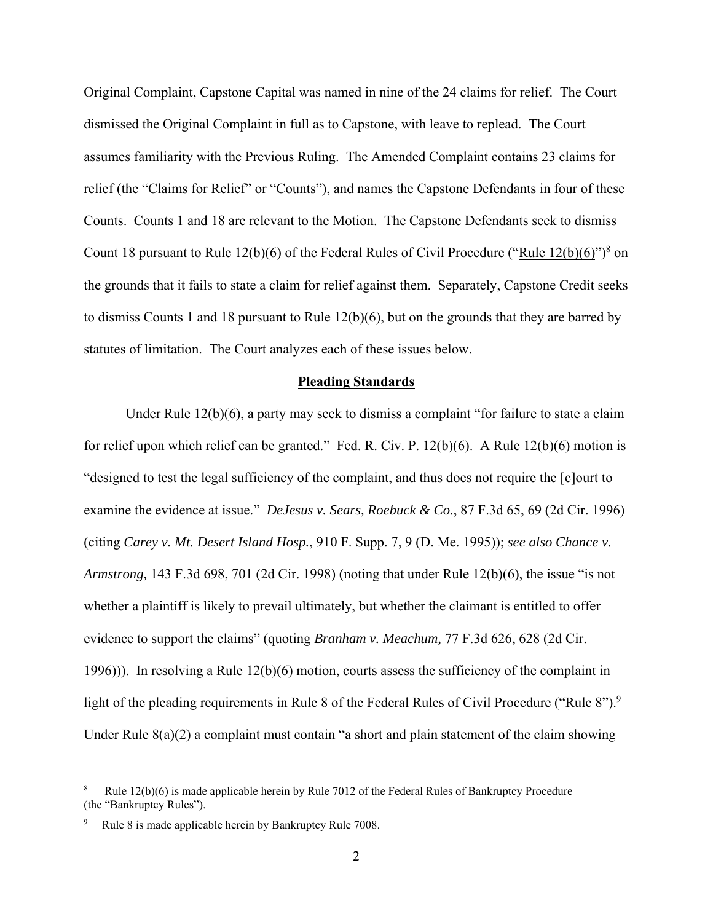Original Complaint, Capstone Capital was named in nine of the 24 claims for relief. The Court dismissed the Original Complaint in full as to Capstone, with leave to replead. The Court assumes familiarity with the Previous Ruling. The Amended Complaint contains 23 claims for relief (the "Claims for Relief" or "Counts"), and names the Capstone Defendants in four of these Counts. Counts 1 and 18 are relevant to the Motion. The Capstone Defendants seek to dismiss Count 18 pursuant to Rule 12(b)(6) of the Federal Rules of Civil Procedure ("Rule  $12(b)(6)$ ")<sup>8</sup> on the grounds that it fails to state a claim for relief against them. Separately, Capstone Credit seeks to dismiss Counts 1 and 18 pursuant to Rule 12(b)(6), but on the grounds that they are barred by statutes of limitation. The Court analyzes each of these issues below.

#### **Pleading Standards**

Under Rule 12(b)(6), a party may seek to dismiss a complaint "for failure to state a claim for relief upon which relief can be granted." Fed. R. Civ. P. 12(b)(6). A Rule 12(b)(6) motion is "designed to test the legal sufficiency of the complaint, and thus does not require the [c]ourt to examine the evidence at issue." *DeJesus v. Sears, Roebuck & Co.*, 87 F.3d 65, 69 (2d Cir. 1996) (citing *Carey v. Mt. Desert Island Hosp.*, 910 F. Supp. 7, 9 (D. Me. 1995)); *see also Chance v. Armstrong,* 143 F.3d 698, 701 (2d Cir. 1998) (noting that under Rule 12(b)(6), the issue "is not whether a plaintiff is likely to prevail ultimately, but whether the claimant is entitled to offer evidence to support the claims" (quoting *Branham v. Meachum,* 77 F.3d 626, 628 (2d Cir. 1996))). In resolving a Rule 12(b)(6) motion, courts assess the sufficiency of the complaint in light of the pleading requirements in Rule 8 of the Federal Rules of Civil Procedure ("Rule 8").<sup>9</sup> Under Rule 8(a)(2) a complaint must contain "a short and plain statement of the claim showing

<sup>8</sup> Rule 12(b)(6) is made applicable herein by Rule 7012 of the Federal Rules of Bankruptcy Procedure (the "Bankruptcy Rules").

<sup>9</sup> Rule 8 is made applicable herein by Bankruptcy Rule 7008.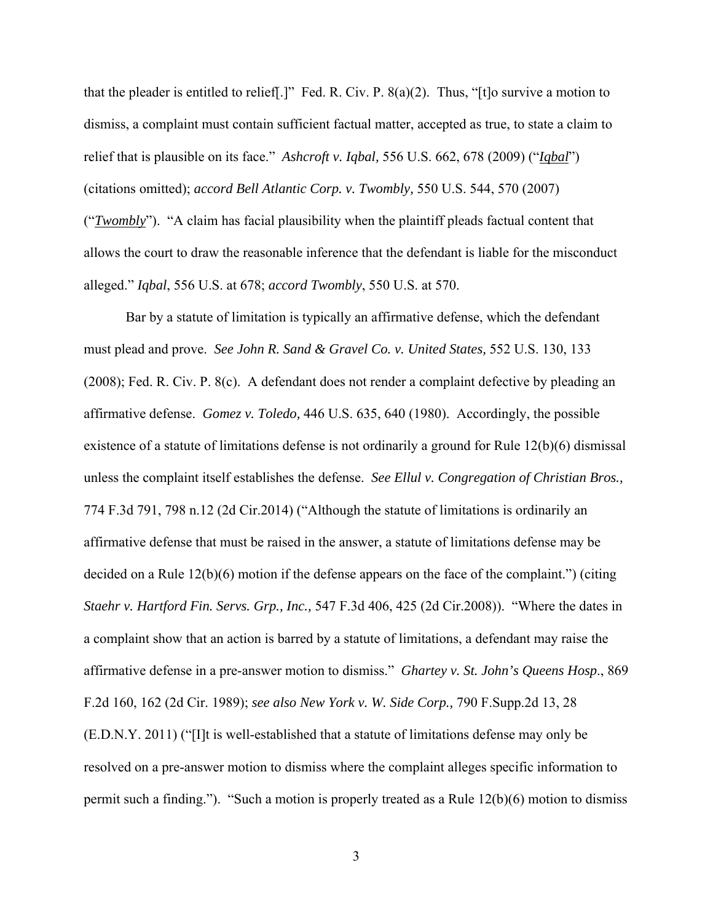that the pleader is entitled to relief.  $]$ " Fed. R. Civ. P.  $8(a)(2)$ . Thus, "[t]o survive a motion to dismiss, a complaint must contain sufficient factual matter, accepted as true, to state a claim to relief that is plausible on its face." *Ashcroft v. Iqbal,* 556 U.S. 662, 678 (2009) ("*Iqbal*") (citations omitted); *accord Bell Atlantic Corp. v. Twombly,* 550 U.S. 544, 570 (2007) ("*Twombly*"). "A claim has facial plausibility when the plaintiff pleads factual content that allows the court to draw the reasonable inference that the defendant is liable for the misconduct alleged." *Iqbal*, 556 U.S. at 678; *accord Twombly*, 550 U.S. at 570.

 Bar by a statute of limitation is typically an affirmative defense, which the defendant must plead and prove. *See John R. Sand & Gravel Co. v. United States,* 552 U.S. 130, 133 (2008); Fed. R. Civ. P. 8(c). A defendant does not render a complaint defective by pleading an affirmative defense. *Gomez v. Toledo,* 446 U.S. 635, 640 (1980). Accordingly, the possible existence of a statute of limitations defense is not ordinarily a ground for Rule 12(b)(6) dismissal unless the complaint itself establishes the defense. *See Ellul v. Congregation of Christian Bros.,* 774 F.3d 791, 798 n.12 (2d Cir.2014) ("Although the statute of limitations is ordinarily an affirmative defense that must be raised in the answer, a statute of limitations defense may be decided on a Rule  $12(b)(6)$  motion if the defense appears on the face of the complaint.") (citing *Staehr v. Hartford Fin. Servs. Grp., Inc.,* 547 F.3d 406, 425 (2d Cir.2008)). "Where the dates in a complaint show that an action is barred by a statute of limitations, a defendant may raise the affirmative defense in a pre-answer motion to dismiss." *Ghartey v. St. John's Queens Hosp*., 869 F.2d 160, 162 (2d Cir. 1989); *see also New York v. W. Side Corp.,* 790 F.Supp.2d 13, 28 (E.D.N.Y. 2011) ("[I]t is well-established that a statute of limitations defense may only be resolved on a pre-answer motion to dismiss where the complaint alleges specific information to permit such a finding."). "Such a motion is properly treated as a Rule 12(b)(6) motion to dismiss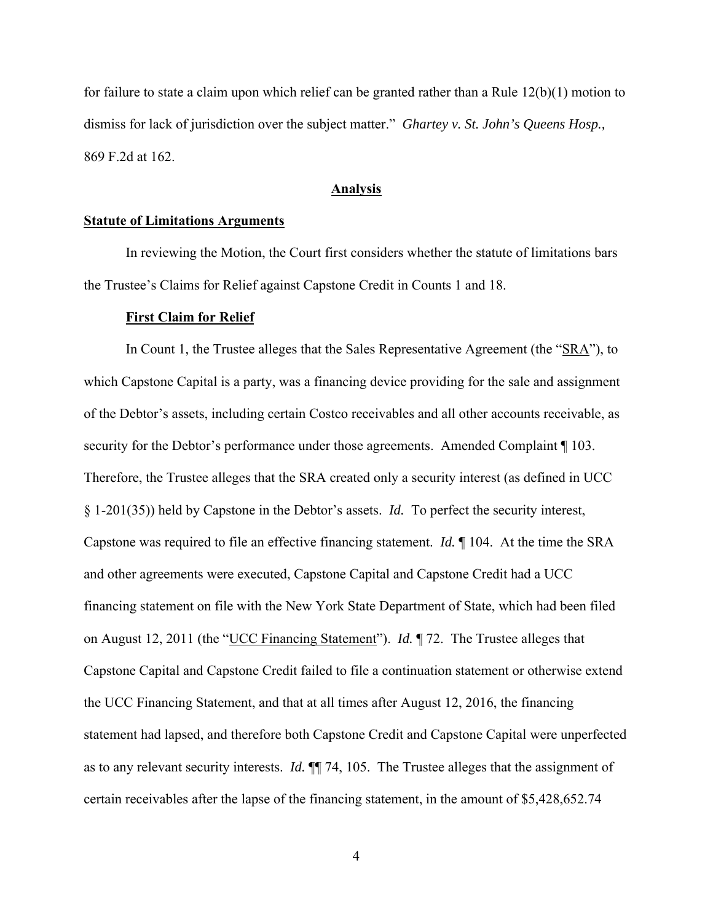for failure to state a claim upon which relief can be granted rather than a Rule 12(b)(1) motion to dismiss for lack of jurisdiction over the subject matter." *Ghartey v. St. John's Queens Hosp.,* 869 F.2d at 162.

#### **Analysis**

#### **Statute of Limitations Arguments**

 In reviewing the Motion, the Court first considers whether the statute of limitations bars the Trustee's Claims for Relief against Capstone Credit in Counts 1 and 18.

#### **First Claim for Relief**

In Count 1, the Trustee alleges that the Sales Representative Agreement (the "SRA"), to which Capstone Capital is a party, was a financing device providing for the sale and assignment of the Debtor's assets, including certain Costco receivables and all other accounts receivable, as security for the Debtor's performance under those agreements. Amended Complaint ¶ 103. Therefore, the Trustee alleges that the SRA created only a security interest (as defined in UCC § 1-201(35)) held by Capstone in the Debtor's assets. *Id.* To perfect the security interest, Capstone was required to file an effective financing statement. *Id.* ¶ 104. At the time the SRA and other agreements were executed, Capstone Capital and Capstone Credit had a UCC financing statement on file with the New York State Department of State, which had been filed on August 12, 2011 (the "UCC Financing Statement"). *Id.* ¶ 72. The Trustee alleges that Capstone Capital and Capstone Credit failed to file a continuation statement or otherwise extend the UCC Financing Statement, and that at all times after August 12, 2016, the financing statement had lapsed, and therefore both Capstone Credit and Capstone Capital were unperfected as to any relevant security interests. *Id.* ¶¶ 74, 105. The Trustee alleges that the assignment of certain receivables after the lapse of the financing statement, in the amount of \$5,428,652.74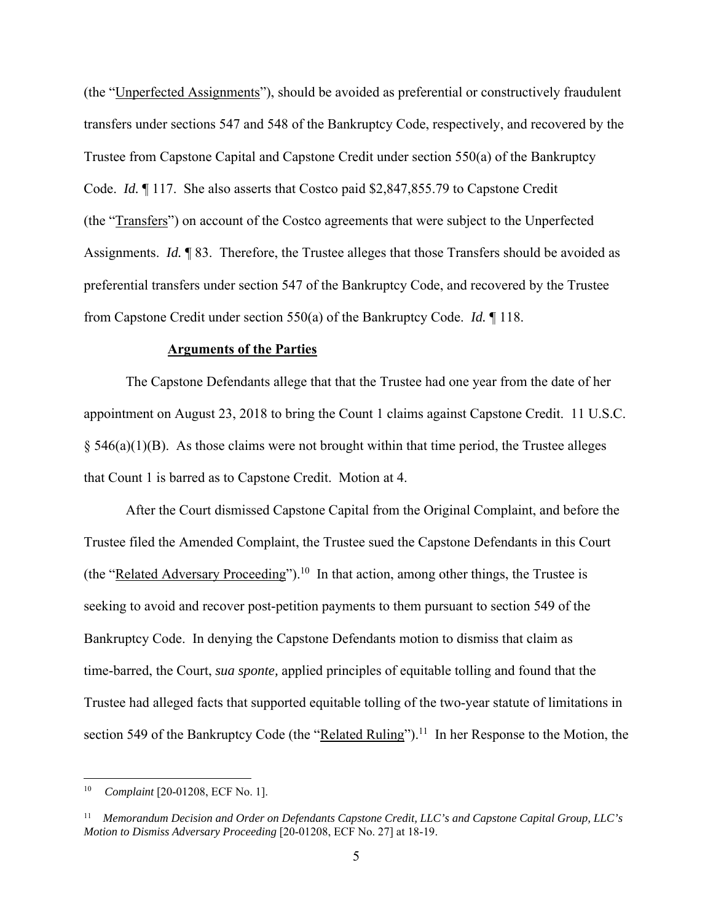(the "Unperfected Assignments"), should be avoided as preferential or constructively fraudulent transfers under sections 547 and 548 of the Bankruptcy Code, respectively, and recovered by the Trustee from Capstone Capital and Capstone Credit under section 550(a) of the Bankruptcy Code. *Id.* ¶ 117. She also asserts that Costco paid \$2,847,855.79 to Capstone Credit (the "Transfers") on account of the Costco agreements that were subject to the Unperfected Assignments. *Id.* ¶ 83. Therefore, the Trustee alleges that those Transfers should be avoided as preferential transfers under section 547 of the Bankruptcy Code, and recovered by the Trustee from Capstone Credit under section 550(a) of the Bankruptcy Code. *Id.* ¶ 118.

#### **Arguments of the Parties**

The Capstone Defendants allege that that the Trustee had one year from the date of her appointment on August 23, 2018 to bring the Count 1 claims against Capstone Credit. 11 U.S.C.  $§$  546(a)(1)(B). As those claims were not brought within that time period, the Trustee alleges that Count 1 is barred as to Capstone Credit. Motion at 4.

After the Court dismissed Capstone Capital from the Original Complaint, and before the Trustee filed the Amended Complaint, the Trustee sued the Capstone Defendants in this Court (the "Related Adversary Proceeding").<sup>10</sup> In that action, among other things, the Trustee is seeking to avoid and recover post-petition payments to them pursuant to section 549 of the Bankruptcy Code. In denying the Capstone Defendants motion to dismiss that claim as time-barred, the Court, *sua sponte,* applied principles of equitable tolling and found that the Trustee had alleged facts that supported equitable tolling of the two-year statute of limitations in section 549 of the Bankruptcy Code (the "Related Ruling").<sup>11</sup> In her Response to the Motion, the

<sup>10</sup> *Complaint* [20-01208, ECF No. 1].

<sup>11</sup> *Memorandum Decision and Order on Defendants Capstone Credit, LLC's and Capstone Capital Group, LLC's Motion to Dismiss Adversary Proceeding* [20-01208, ECF No. 27] at 18-19.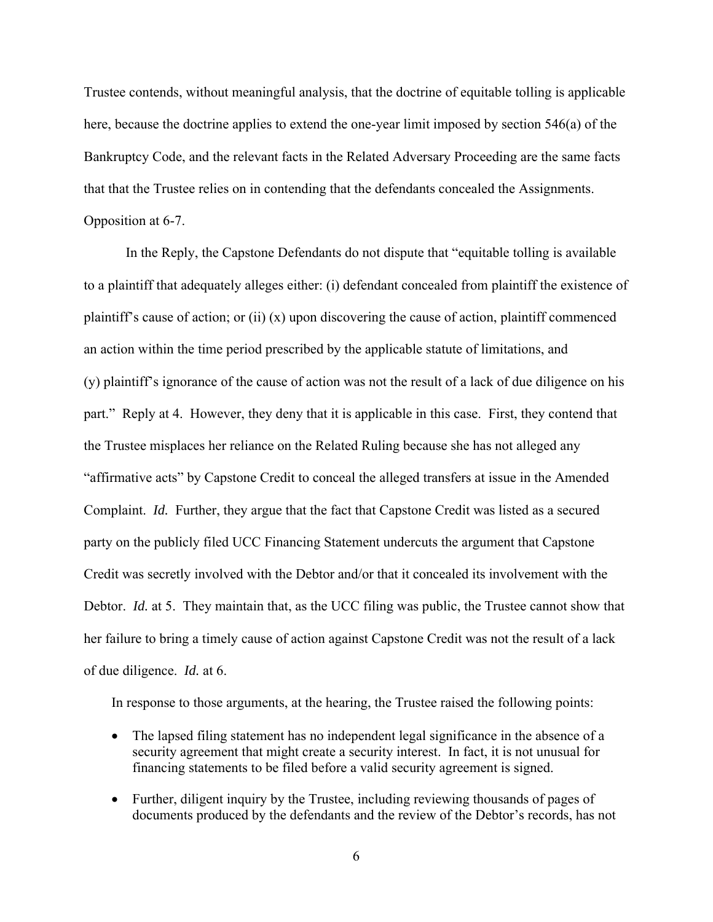Trustee contends, without meaningful analysis, that the doctrine of equitable tolling is applicable here, because the doctrine applies to extend the one-year limit imposed by section 546(a) of the Bankruptcy Code, and the relevant facts in the Related Adversary Proceeding are the same facts that that the Trustee relies on in contending that the defendants concealed the Assignments. Opposition at 6-7.

In the Reply, the Capstone Defendants do not dispute that "equitable tolling is available to a plaintiff that adequately alleges either: (i) defendant concealed from plaintiff the existence of plaintiff's cause of action; or (ii) (x) upon discovering the cause of action, plaintiff commenced an action within the time period prescribed by the applicable statute of limitations, and (y) plaintiff's ignorance of the cause of action was not the result of a lack of due diligence on his part." Reply at 4. However, they deny that it is applicable in this case. First, they contend that the Trustee misplaces her reliance on the Related Ruling because she has not alleged any "affirmative acts" by Capstone Credit to conceal the alleged transfers at issue in the Amended Complaint. *Id.* Further, they argue that the fact that Capstone Credit was listed as a secured party on the publicly filed UCC Financing Statement undercuts the argument that Capstone Credit was secretly involved with the Debtor and/or that it concealed its involvement with the Debtor. *Id.* at 5. They maintain that, as the UCC filing was public, the Trustee cannot show that her failure to bring a timely cause of action against Capstone Credit was not the result of a lack of due diligence. *Id.* at 6.

In response to those arguments, at the hearing, the Trustee raised the following points:

- The lapsed filing statement has no independent legal significance in the absence of a security agreement that might create a security interest. In fact, it is not unusual for financing statements to be filed before a valid security agreement is signed.
- Further, diligent inquiry by the Trustee, including reviewing thousands of pages of documents produced by the defendants and the review of the Debtor's records, has not
	- 6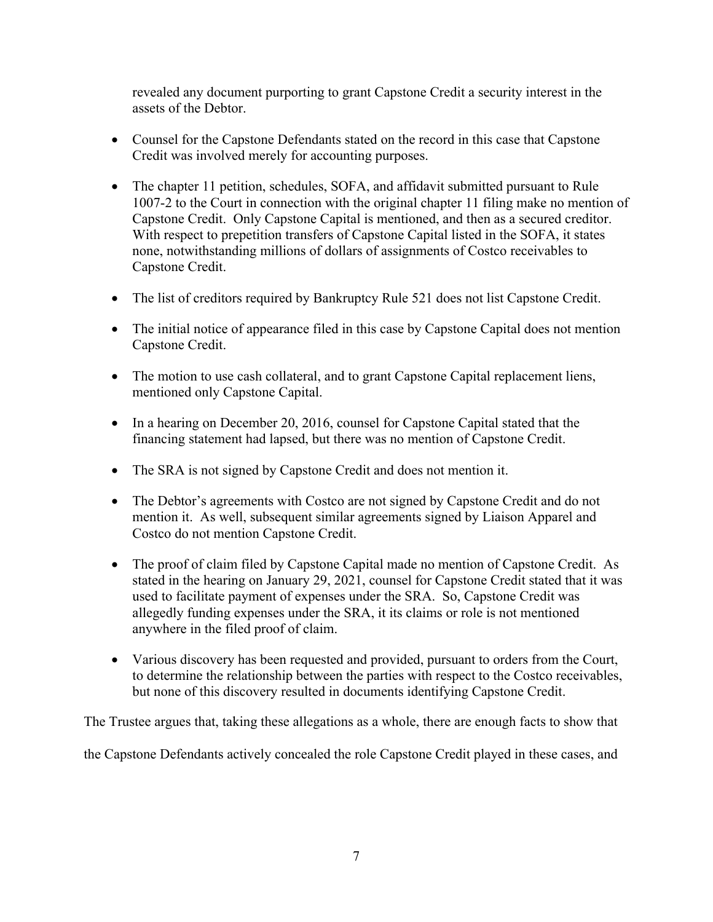revealed any document purporting to grant Capstone Credit a security interest in the assets of the Debtor.

- Counsel for the Capstone Defendants stated on the record in this case that Capstone Credit was involved merely for accounting purposes.
- The chapter 11 petition, schedules, SOFA, and affidavit submitted pursuant to Rule 1007-2 to the Court in connection with the original chapter 11 filing make no mention of Capstone Credit. Only Capstone Capital is mentioned, and then as a secured creditor. With respect to prepetition transfers of Capstone Capital listed in the SOFA, it states none, notwithstanding millions of dollars of assignments of Costco receivables to Capstone Credit.
- The list of creditors required by Bankruptcy Rule 521 does not list Capstone Credit.
- The initial notice of appearance filed in this case by Capstone Capital does not mention Capstone Credit.
- The motion to use cash collateral, and to grant Capstone Capital replacement liens, mentioned only Capstone Capital.
- In a hearing on December 20, 2016, counsel for Capstone Capital stated that the financing statement had lapsed, but there was no mention of Capstone Credit.
- The SRA is not signed by Capstone Credit and does not mention it.
- The Debtor's agreements with Costco are not signed by Capstone Credit and do not mention it. As well, subsequent similar agreements signed by Liaison Apparel and Costco do not mention Capstone Credit.
- The proof of claim filed by Capstone Capital made no mention of Capstone Credit. As stated in the hearing on January 29, 2021, counsel for Capstone Credit stated that it was used to facilitate payment of expenses under the SRA. So, Capstone Credit was allegedly funding expenses under the SRA, it its claims or role is not mentioned anywhere in the filed proof of claim.
- Various discovery has been requested and provided, pursuant to orders from the Court, to determine the relationship between the parties with respect to the Costco receivables, but none of this discovery resulted in documents identifying Capstone Credit.

The Trustee argues that, taking these allegations as a whole, there are enough facts to show that

the Capstone Defendants actively concealed the role Capstone Credit played in these cases, and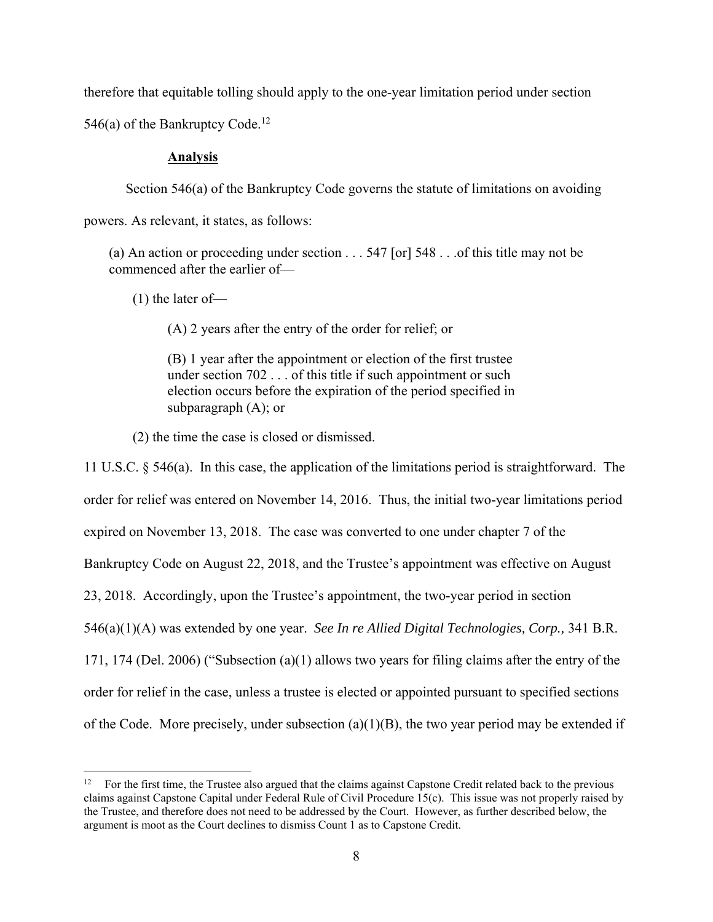therefore that equitable tolling should apply to the one-year limitation period under section

546(a) of the Bankruptcy Code.<sup>12</sup>

## **Analysis**

Section 546(a) of the Bankruptcy Code governs the statute of limitations on avoiding

powers. As relevant, it states, as follows:

(a) An action or proceeding under section . . . 547 [or] 548 . . .of this title may not be commenced after the earlier of—

(1) the later of—

(A) 2 years after the entry of the order for relief; or

(B) 1 year after the appointment or election of the first trustee under section 702 . . . of this title if such appointment or such election occurs before the expiration of the period specified in subparagraph (A); or

(2) the time the case is closed or dismissed.

11 U.S.C. § 546(a). In this case, the application of the limitations period is straightforward. The order for relief was entered on November 14, 2016. Thus, the initial two-year limitations period expired on November 13, 2018. The case was converted to one under chapter 7 of the Bankruptcy Code on August 22, 2018, and the Trustee's appointment was effective on August 23, 2018. Accordingly, upon the Trustee's appointment, the two-year period in section 546(a)(1)(A) was extended by one year. *See In re Allied Digital Technologies, Corp.,* 341 B.R. 171, 174 (Del. 2006) ("Subsection (a)(1) allows two years for filing claims after the entry of the order for relief in the case, unless a trustee is elected or appointed pursuant to specified sections of the Code. More precisely, under subsection  $(a)(1)(B)$ , the two year period may be extended if

<sup>12</sup> For the first time, the Trustee also argued that the claims against Capstone Credit related back to the previous claims against Capstone Capital under Federal Rule of Civil Procedure 15(c). This issue was not properly raised by the Trustee, and therefore does not need to be addressed by the Court. However, as further described below, the argument is moot as the Court declines to dismiss Count 1 as to Capstone Credit.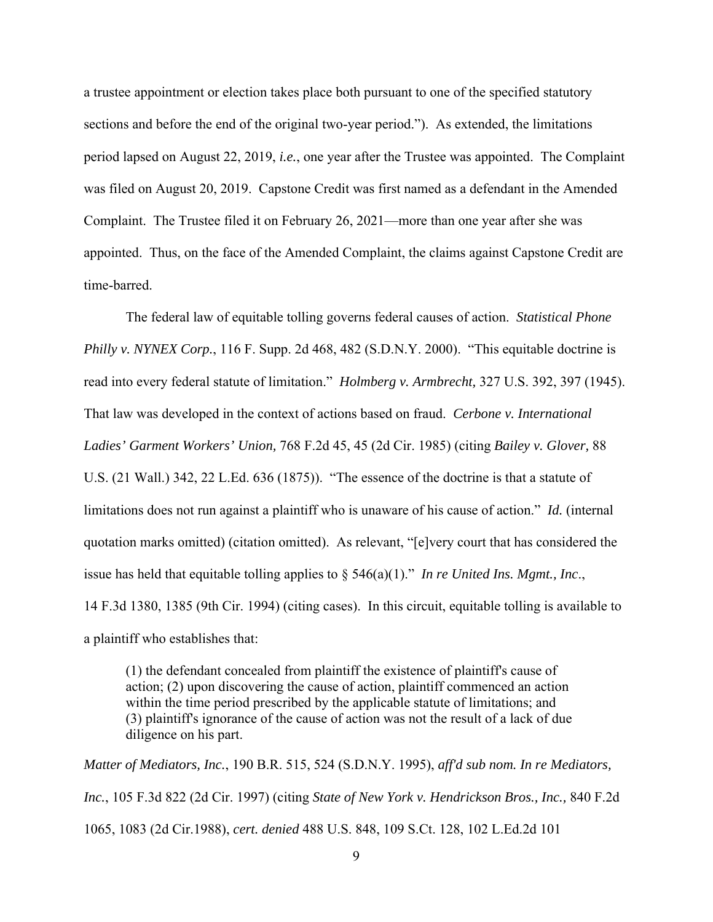a trustee appointment or election takes place both pursuant to one of the specified statutory sections and before the end of the original two-year period."). As extended, the limitations period lapsed on August 22, 2019, *i.e.*, one year after the Trustee was appointed. The Complaint was filed on August 20, 2019. Capstone Credit was first named as a defendant in the Amended Complaint. The Trustee filed it on February 26, 2021—more than one year after she was appointed. Thus, on the face of the Amended Complaint, the claims against Capstone Credit are time-barred.

The federal law of equitable tolling governs federal causes of action. *Statistical Phone Philly v. NYNEX Corp.*, 116 F. Supp. 2d 468, 482 (S.D.N.Y. 2000). "This equitable doctrine is read into every federal statute of limitation." *Holmberg v. Armbrecht,* 327 U.S. 392, 397 (1945). That law was developed in the context of actions based on fraud. *Cerbone v. International Ladies' Garment Workers' Union,* 768 F.2d 45, 45 (2d Cir. 1985) (citing *Bailey v. Glover,* 88 U.S. (21 Wall.) 342, 22 L.Ed. 636 (1875)). "The essence of the doctrine is that a statute of limitations does not run against a plaintiff who is unaware of his cause of action." *Id.* (internal quotation marks omitted) (citation omitted). As relevant, "[e]very court that has considered the issue has held that equitable tolling applies to § 546(a)(1)." *In re United Ins. Mgmt., Inc*., 14 F.3d 1380, 1385 (9th Cir. 1994) (citing cases). In this circuit, equitable tolling is available to a plaintiff who establishes that:

(1) the defendant concealed from plaintiff the existence of plaintiff's cause of action; (2) upon discovering the cause of action, plaintiff commenced an action within the time period prescribed by the applicable statute of limitations; and (3) plaintiff's ignorance of the cause of action was not the result of a lack of due diligence on his part.

*Matter of Mediators, Inc.*, 190 B.R. 515, 524 (S.D.N.Y. 1995), *aff'd sub nom. In re Mediators, Inc.*, 105 F.3d 822 (2d Cir. 1997) (citing *State of New York v. Hendrickson Bros., Inc.,* 840 F.2d 1065, 1083 (2d Cir.1988), *cert. denied* 488 U.S. 848, 109 S.Ct. 128, 102 L.Ed.2d 101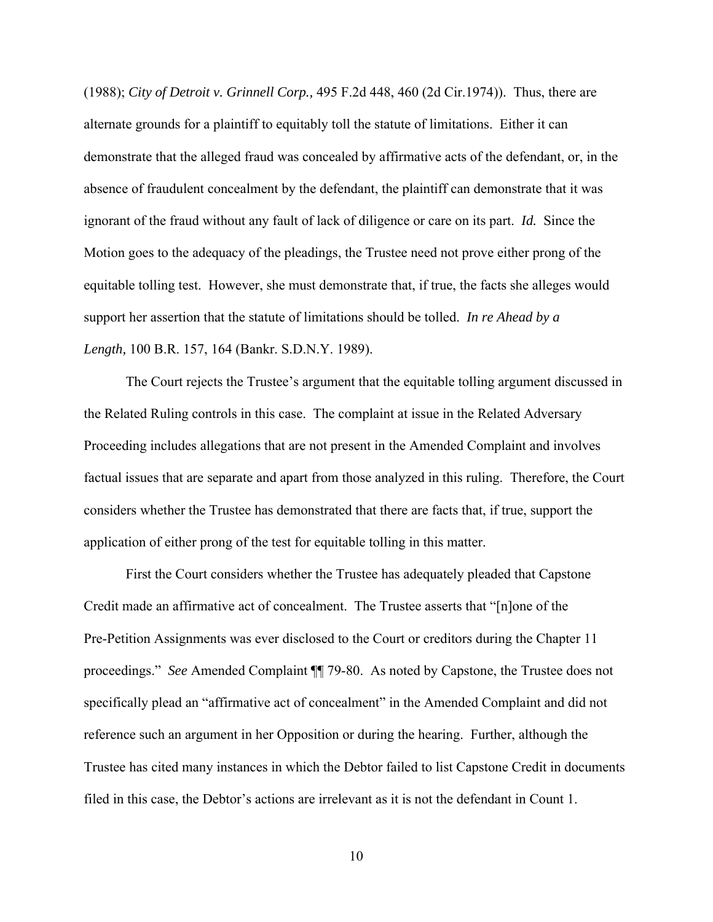(1988); *City of Detroit v. Grinnell Corp.,* 495 F.2d 448, 460 (2d Cir.1974)). Thus, there are alternate grounds for a plaintiff to equitably toll the statute of limitations. Either it can demonstrate that the alleged fraud was concealed by affirmative acts of the defendant, or, in the absence of fraudulent concealment by the defendant, the plaintiff can demonstrate that it was ignorant of the fraud without any fault of lack of diligence or care on its part. *Id.* Since the Motion goes to the adequacy of the pleadings, the Trustee need not prove either prong of the equitable tolling test. However, she must demonstrate that, if true, the facts she alleges would support her assertion that the statute of limitations should be tolled. *In re Ahead by a Length,* 100 B.R. 157, 164 (Bankr. S.D.N.Y. 1989).

The Court rejects the Trustee's argument that the equitable tolling argument discussed in the Related Ruling controls in this case. The complaint at issue in the Related Adversary Proceeding includes allegations that are not present in the Amended Complaint and involves factual issues that are separate and apart from those analyzed in this ruling. Therefore, the Court considers whether the Trustee has demonstrated that there are facts that, if true, support the application of either prong of the test for equitable tolling in this matter.

First the Court considers whether the Trustee has adequately pleaded that Capstone Credit made an affirmative act of concealment. The Trustee asserts that "[n]one of the Pre-Petition Assignments was ever disclosed to the Court or creditors during the Chapter 11 proceedings." *See* Amended Complaint ¶¶ 79-80. As noted by Capstone, the Trustee does not specifically plead an "affirmative act of concealment" in the Amended Complaint and did not reference such an argument in her Opposition or during the hearing. Further, although the Trustee has cited many instances in which the Debtor failed to list Capstone Credit in documents filed in this case, the Debtor's actions are irrelevant as it is not the defendant in Count 1.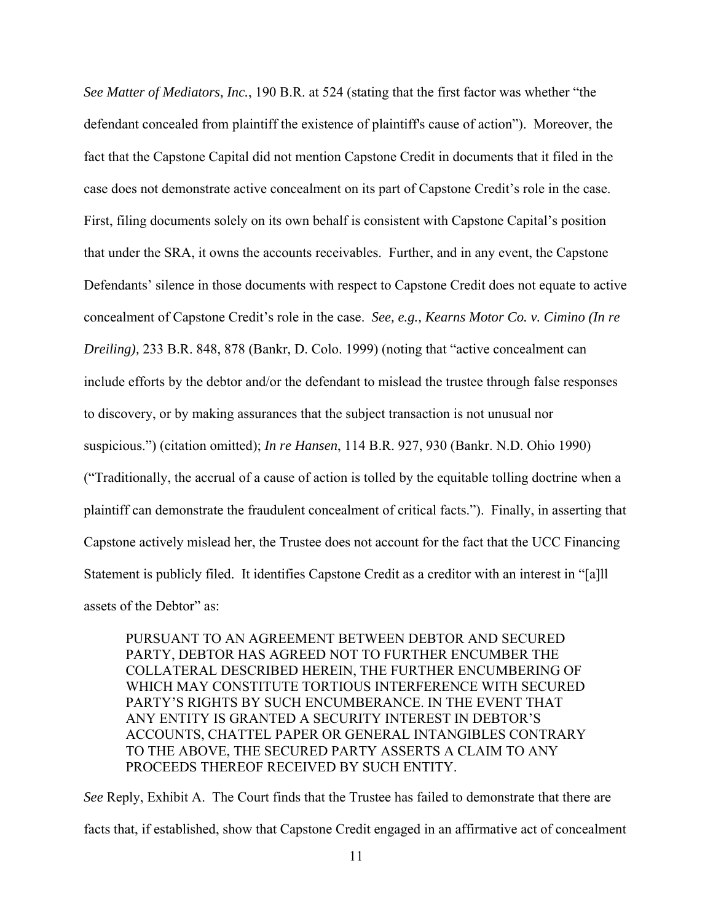*See Matter of Mediators, Inc.*, 190 B.R. at 524 (stating that the first factor was whether "the defendant concealed from plaintiff the existence of plaintiff's cause of action"). Moreover, the fact that the Capstone Capital did not mention Capstone Credit in documents that it filed in the case does not demonstrate active concealment on its part of Capstone Credit's role in the case. First, filing documents solely on its own behalf is consistent with Capstone Capital's position that under the SRA, it owns the accounts receivables. Further, and in any event, the Capstone Defendants' silence in those documents with respect to Capstone Credit does not equate to active concealment of Capstone Credit's role in the case. *See, e.g., Kearns Motor Co. v. Cimino (In re Dreiling),* 233 B.R. 848, 878 (Bankr, D. Colo. 1999) (noting that "active concealment can include efforts by the debtor and/or the defendant to mislead the trustee through false responses to discovery, or by making assurances that the subject transaction is not unusual nor suspicious.") (citation omitted); *In re Hansen*, 114 B.R. 927, 930 (Bankr. N.D. Ohio 1990) ("Traditionally, the accrual of a cause of action is tolled by the equitable tolling doctrine when a plaintiff can demonstrate the fraudulent concealment of critical facts."). Finally, in asserting that Capstone actively mislead her, the Trustee does not account for the fact that the UCC Financing Statement is publicly filed. It identifies Capstone Credit as a creditor with an interest in "[a]ll assets of the Debtor" as:

PURSUANT TO AN AGREEMENT BETWEEN DEBTOR AND SECURED PARTY, DEBTOR HAS AGREED NOT TO FURTHER ENCUMBER THE COLLATERAL DESCRIBED HEREIN, THE FURTHER ENCUMBERING OF WHICH MAY CONSTITUTE TORTIOUS INTERFERENCE WITH SECURED PARTY'S RIGHTS BY SUCH ENCUMBERANCE. IN THE EVENT THAT ANY ENTITY IS GRANTED A SECURITY INTEREST IN DEBTOR'S ACCOUNTS, CHATTEL PAPER OR GENERAL INTANGIBLES CONTRARY TO THE ABOVE, THE SECURED PARTY ASSERTS A CLAIM TO ANY PROCEEDS THEREOF RECEIVED BY SUCH ENTITY.

*See* Reply, Exhibit A.The Court finds that the Trustee has failed to demonstrate that there are facts that, if established, show that Capstone Credit engaged in an affirmative act of concealment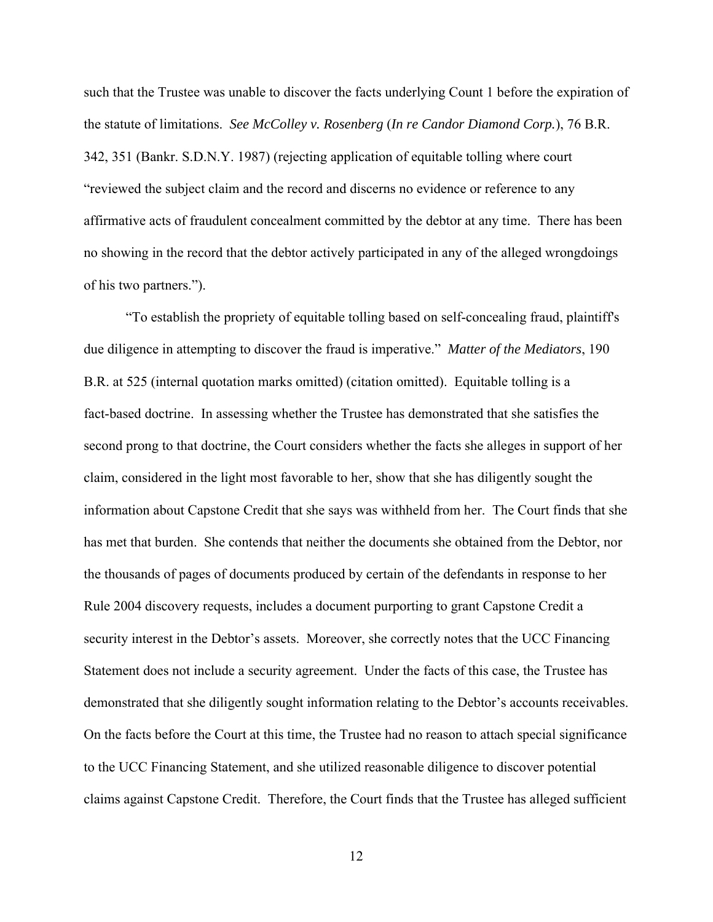such that the Trustee was unable to discover the facts underlying Count 1 before the expiration of the statute of limitations. *See McColley v. Rosenberg* (*In re Candor Diamond Corp.*), 76 B.R. 342, 351 (Bankr. S.D.N.Y. 1987) (rejecting application of equitable tolling where court "reviewed the subject claim and the record and discerns no evidence or reference to any affirmative acts of fraudulent concealment committed by the debtor at any time. There has been no showing in the record that the debtor actively participated in any of the alleged wrongdoings of his two partners.").

"To establish the propriety of equitable tolling based on self-concealing fraud, plaintiff's due diligence in attempting to discover the fraud is imperative." *Matter of the Mediators*, 190 B.R. at 525 (internal quotation marks omitted) (citation omitted). Equitable tolling is a fact-based doctrine. In assessing whether the Trustee has demonstrated that she satisfies the second prong to that doctrine, the Court considers whether the facts she alleges in support of her claim, considered in the light most favorable to her, show that she has diligently sought the information about Capstone Credit that she says was withheld from her. The Court finds that she has met that burden. She contends that neither the documents she obtained from the Debtor, nor the thousands of pages of documents produced by certain of the defendants in response to her Rule 2004 discovery requests, includes a document purporting to grant Capstone Credit a security interest in the Debtor's assets. Moreover, she correctly notes that the UCC Financing Statement does not include a security agreement. Under the facts of this case, the Trustee has demonstrated that she diligently sought information relating to the Debtor's accounts receivables. On the facts before the Court at this time, the Trustee had no reason to attach special significance to the UCC Financing Statement, and she utilized reasonable diligence to discover potential claims against Capstone Credit. Therefore, the Court finds that the Trustee has alleged sufficient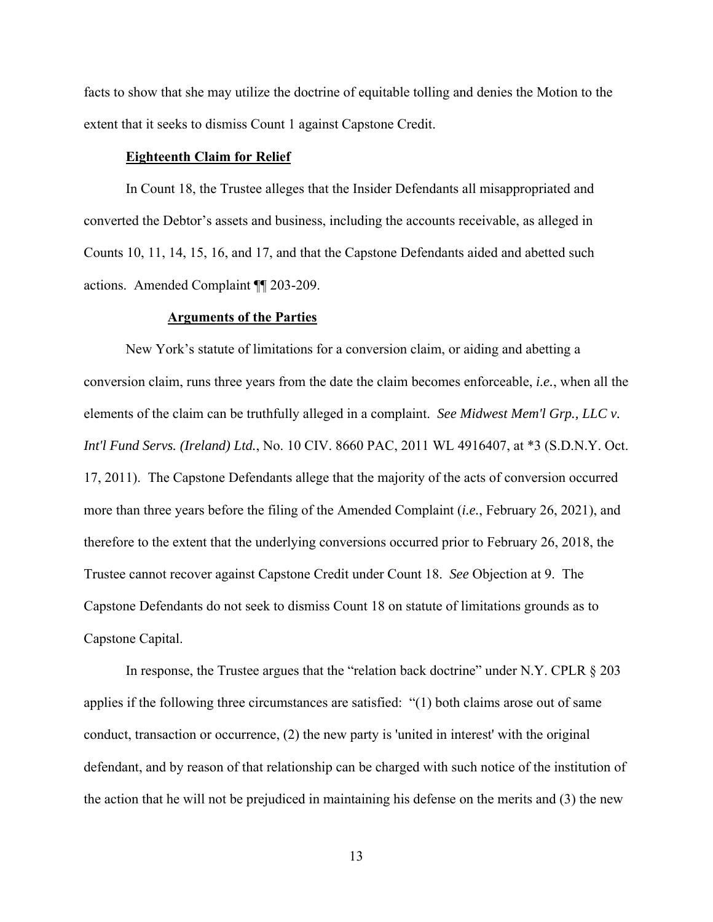facts to show that she may utilize the doctrine of equitable tolling and denies the Motion to the extent that it seeks to dismiss Count 1 against Capstone Credit.

### **Eighteenth Claim for Relief**

In Count 18, the Trustee alleges that the Insider Defendants all misappropriated and converted the Debtor's assets and business, including the accounts receivable, as alleged in Counts 10, 11, 14, 15, 16, and 17, and that the Capstone Defendants aided and abetted such actions. Amended Complaint ¶¶ 203-209.

#### **Arguments of the Parties**

New York's statute of limitations for a conversion claim, or aiding and abetting a conversion claim, runs three years from the date the claim becomes enforceable, *i.e.*, when all the elements of the claim can be truthfully alleged in a complaint. *See Midwest Mem'l Grp., LLC v. Int'l Fund Servs. (Ireland) Ltd.*, No. 10 CIV. 8660 PAC, 2011 WL 4916407, at \*3 (S.D.N.Y. Oct. 17, 2011). The Capstone Defendants allege that the majority of the acts of conversion occurred more than three years before the filing of the Amended Complaint (*i.e.*, February 26, 2021), and therefore to the extent that the underlying conversions occurred prior to February 26, 2018, the Trustee cannot recover against Capstone Credit under Count 18. *See* Objection at 9. The Capstone Defendants do not seek to dismiss Count 18 on statute of limitations grounds as to Capstone Capital.

In response, the Trustee argues that the "relation back doctrine" under N.Y. CPLR § 203 applies if the following three circumstances are satisfied: "(1) both claims arose out of same conduct, transaction or occurrence, (2) the new party is 'united in interest' with the original defendant, and by reason of that relationship can be charged with such notice of the institution of the action that he will not be prejudiced in maintaining his defense on the merits and (3) the new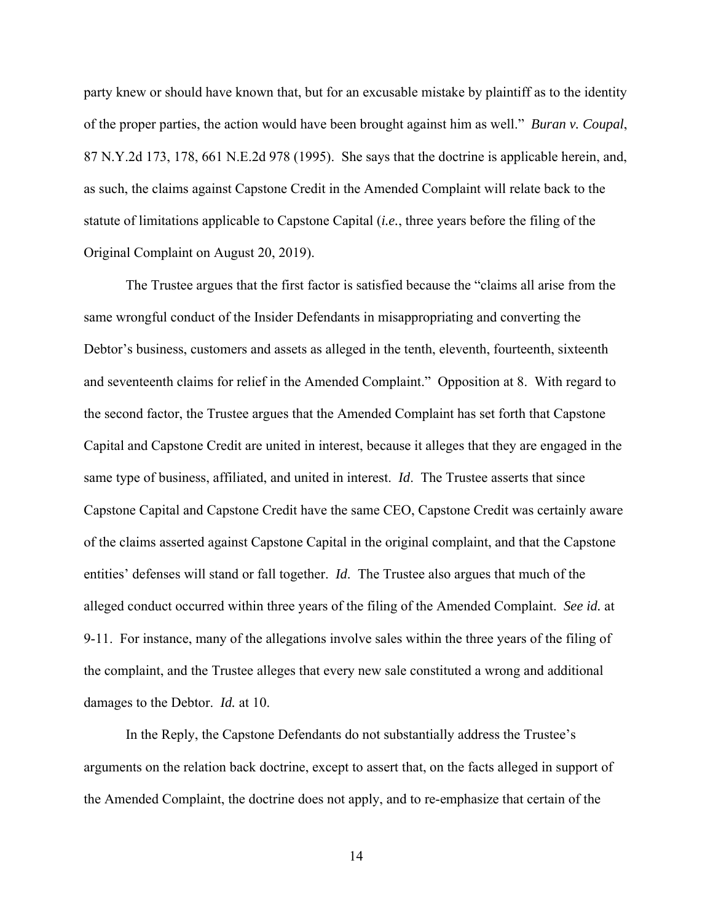party knew or should have known that, but for an excusable mistake by plaintiff as to the identity of the proper parties, the action would have been brought against him as well." *Buran v. Coupal*, 87 N.Y.2d 173, 178, 661 N.E.2d 978 (1995). She says that the doctrine is applicable herein, and, as such, the claims against Capstone Credit in the Amended Complaint will relate back to the statute of limitations applicable to Capstone Capital (*i.e.*, three years before the filing of the Original Complaint on August 20, 2019).

The Trustee argues that the first factor is satisfied because the "claims all arise from the same wrongful conduct of the Insider Defendants in misappropriating and converting the Debtor's business, customers and assets as alleged in the tenth, eleventh, fourteenth, sixteenth and seventeenth claims for relief in the Amended Complaint." Opposition at 8. With regard to the second factor, the Trustee argues that the Amended Complaint has set forth that Capstone Capital and Capstone Credit are united in interest, because it alleges that they are engaged in the same type of business, affiliated, and united in interest. *Id*. The Trustee asserts that since Capstone Capital and Capstone Credit have the same CEO, Capstone Credit was certainly aware of the claims asserted against Capstone Capital in the original complaint, and that the Capstone entities' defenses will stand or fall together. *Id*. The Trustee also argues that much of the alleged conduct occurred within three years of the filing of the Amended Complaint. *See id.* at 9-11. For instance, many of the allegations involve sales within the three years of the filing of the complaint, and the Trustee alleges that every new sale constituted a wrong and additional damages to the Debtor. *Id.* at 10.

In the Reply, the Capstone Defendants do not substantially address the Trustee's arguments on the relation back doctrine, except to assert that, on the facts alleged in support of the Amended Complaint, the doctrine does not apply, and to re-emphasize that certain of the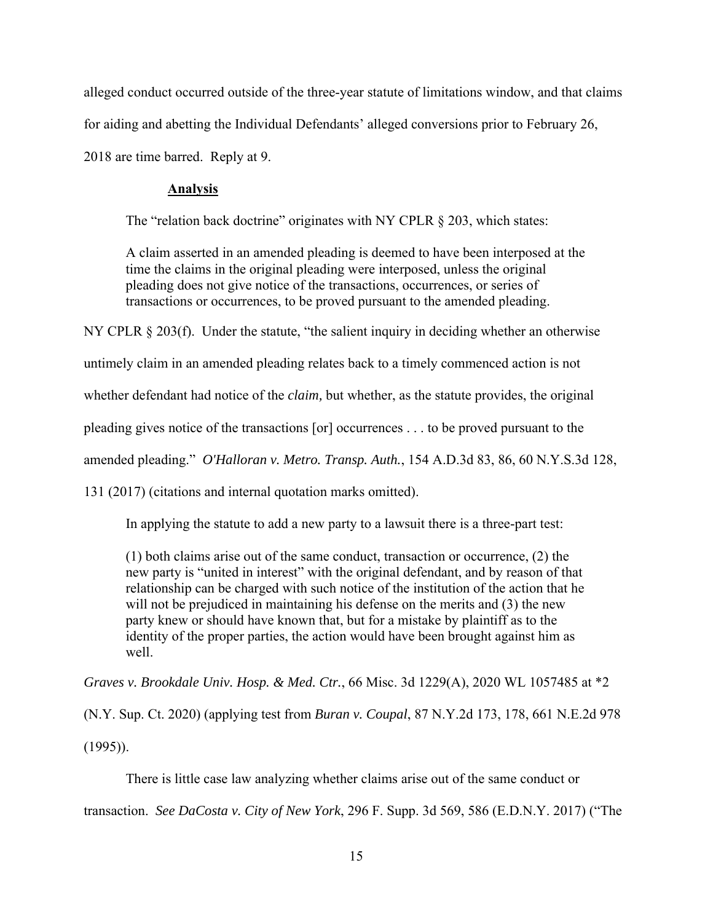alleged conduct occurred outside of the three-year statute of limitations window, and that claims for aiding and abetting the Individual Defendants' alleged conversions prior to February 26, 2018 are time barred. Reply at 9.

# **Analysis**

The "relation back doctrine" originates with NY CPLR § 203, which states:

A claim asserted in an amended pleading is deemed to have been interposed at the time the claims in the original pleading were interposed, unless the original pleading does not give notice of the transactions, occurrences, or series of transactions or occurrences, to be proved pursuant to the amended pleading.

NY CPLR § 203(f). Under the statute, "the salient inquiry in deciding whether an otherwise

untimely claim in an amended pleading relates back to a timely commenced action is not

whether defendant had notice of the *claim,* but whether, as the statute provides, the original

pleading gives notice of the transactions [or] occurrences . . . to be proved pursuant to the

amended pleading." *O'Halloran v. Metro. Transp. Auth.*, 154 A.D.3d 83, 86, 60 N.Y.S.3d 128,

131 (2017) (citations and internal quotation marks omitted).

In applying the statute to add a new party to a lawsuit there is a three-part test:

(1) both claims arise out of the same conduct, transaction or occurrence, (2) the new party is "united in interest" with the original defendant, and by reason of that relationship can be charged with such notice of the institution of the action that he will not be prejudiced in maintaining his defense on the merits and (3) the new party knew or should have known that, but for a mistake by plaintiff as to the identity of the proper parties, the action would have been brought against him as well.

*Graves v. Brookdale Univ. Hosp. & Med. Ctr.*, 66 Misc. 3d 1229(A), 2020 WL 1057485 at \*2

(N.Y. Sup. Ct. 2020) (applying test from *Buran v. Coupal*, 87 N.Y.2d 173, 178, 661 N.E.2d 978 (1995)).

There is little case law analyzing whether claims arise out of the same conduct or transaction. *See DaCosta v. City of New York*, 296 F. Supp. 3d 569, 586 (E.D.N.Y. 2017) ("The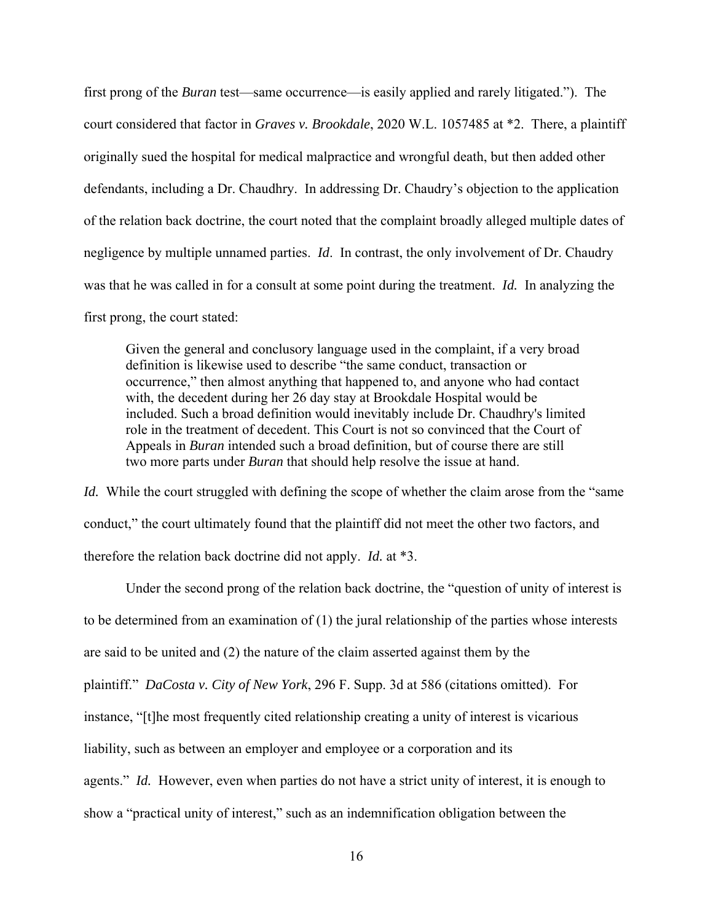first prong of the *Buran* test—same occurrence—is easily applied and rarely litigated."). The court considered that factor in *Graves v. Brookdale*, 2020 W.L. 1057485 at \*2. There, a plaintiff originally sued the hospital for medical malpractice and wrongful death, but then added other defendants, including a Dr. Chaudhry. In addressing Dr. Chaudry's objection to the application of the relation back doctrine, the court noted that the complaint broadly alleged multiple dates of negligence by multiple unnamed parties. *Id*. In contrast, the only involvement of Dr. Chaudry was that he was called in for a consult at some point during the treatment. *Id.* In analyzing the first prong, the court stated:

Given the general and conclusory language used in the complaint, if a very broad definition is likewise used to describe "the same conduct, transaction or occurrence," then almost anything that happened to, and anyone who had contact with, the decedent during her 26 day stay at Brookdale Hospital would be included. Such a broad definition would inevitably include Dr. Chaudhry's limited role in the treatment of decedent. This Court is not so convinced that the Court of Appeals in *Buran* intended such a broad definition, but of course there are still two more parts under *Buran* that should help resolve the issue at hand.

*Id.* While the court struggled with defining the scope of whether the claim arose from the "same" conduct," the court ultimately found that the plaintiff did not meet the other two factors, and therefore the relation back doctrine did not apply. *Id.* at \*3.

Under the second prong of the relation back doctrine, the "question of unity of interest is to be determined from an examination of (1) the jural relationship of the parties whose interests are said to be united and (2) the nature of the claim asserted against them by the plaintiff." *DaCosta v. City of New York*, 296 F. Supp. 3d at 586 (citations omitted). For instance, "[t]he most frequently cited relationship creating a unity of interest is vicarious liability, such as between an employer and employee or a corporation and its agents." *Id.* However, even when parties do not have a strict unity of interest, it is enough to show a "practical unity of interest," such as an indemnification obligation between the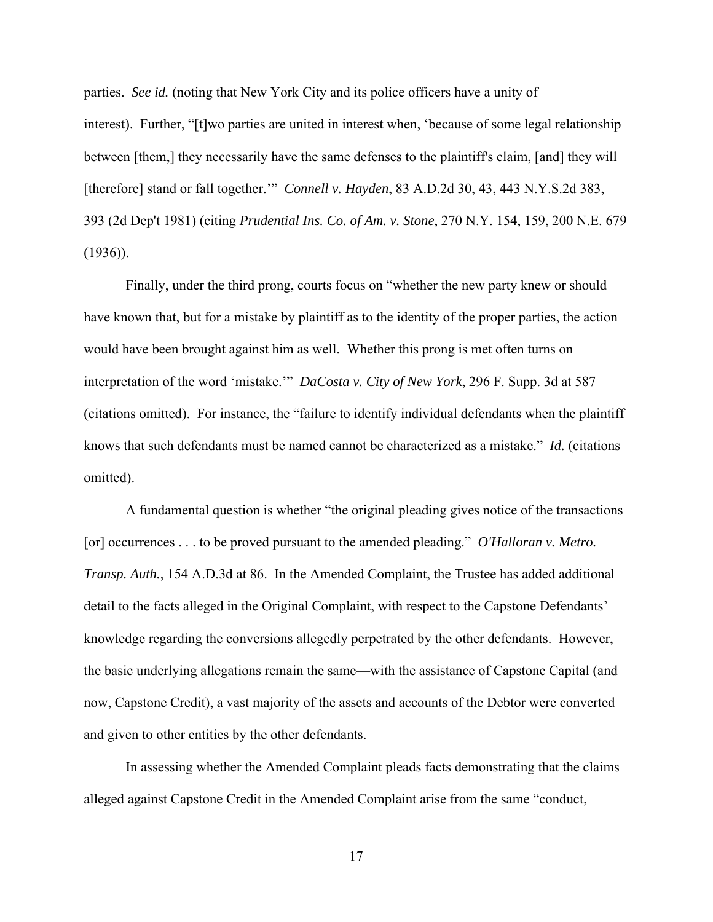parties. *See id.* (noting that New York City and its police officers have a unity of interest). Further, "[t]wo parties are united in interest when, 'because of some legal relationship between [them,] they necessarily have the same defenses to the plaintiff's claim, [and] they will [therefore] stand or fall together.'" *Connell v. Hayden*, 83 A.D.2d 30, 43, 443 N.Y.S.2d 383, 393 (2d Dep't 1981) (citing *Prudential Ins. Co. of Am. v. Stone*, 270 N.Y. 154, 159, 200 N.E. 679 (1936)).

Finally, under the third prong, courts focus on "whether the new party knew or should have known that, but for a mistake by plaintiff as to the identity of the proper parties, the action would have been brought against him as well. Whether this prong is met often turns on interpretation of the word 'mistake.'" *DaCosta v. City of New York*, 296 F. Supp. 3d at 587 (citations omitted). For instance, the "failure to identify individual defendants when the plaintiff knows that such defendants must be named cannot be characterized as a mistake." *Id.* (citations omitted).

A fundamental question is whether "the original pleading gives notice of the transactions [or] occurrences . . . to be proved pursuant to the amended pleading." *O'Halloran v. Metro. Transp. Auth.*, 154 A.D.3d at 86. In the Amended Complaint, the Trustee has added additional detail to the facts alleged in the Original Complaint, with respect to the Capstone Defendants' knowledge regarding the conversions allegedly perpetrated by the other defendants. However, the basic underlying allegations remain the same—with the assistance of Capstone Capital (and now, Capstone Credit), a vast majority of the assets and accounts of the Debtor were converted and given to other entities by the other defendants.

In assessing whether the Amended Complaint pleads facts demonstrating that the claims alleged against Capstone Credit in the Amended Complaint arise from the same "conduct,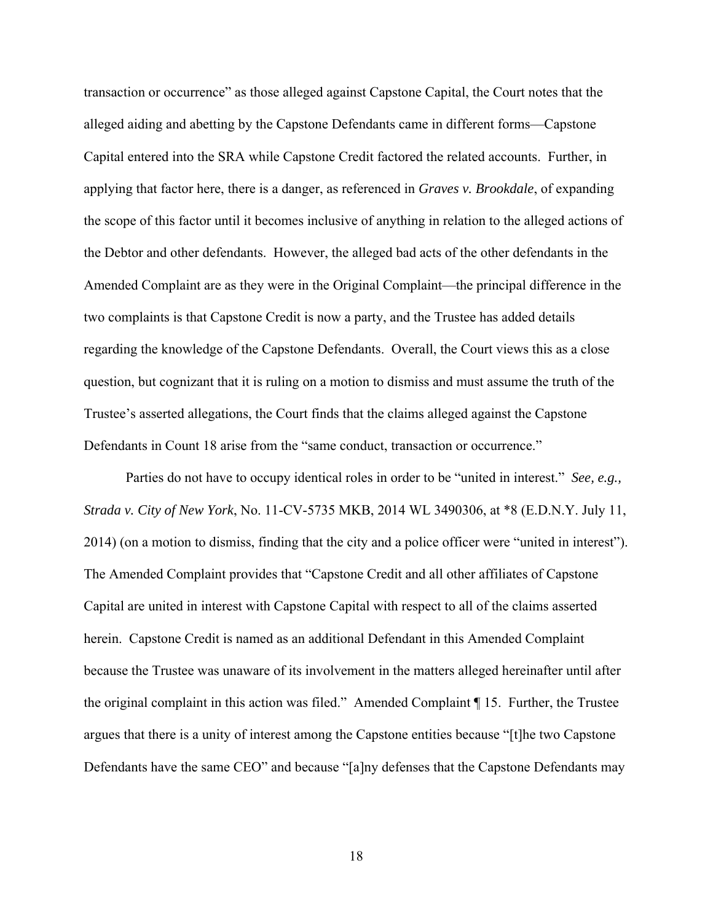transaction or occurrence" as those alleged against Capstone Capital, the Court notes that the alleged aiding and abetting by the Capstone Defendants came in different forms—Capstone Capital entered into the SRA while Capstone Credit factored the related accounts. Further, in applying that factor here, there is a danger, as referenced in *Graves v. Brookdale*, of expanding the scope of this factor until it becomes inclusive of anything in relation to the alleged actions of the Debtor and other defendants. However, the alleged bad acts of the other defendants in the Amended Complaint are as they were in the Original Complaint—the principal difference in the two complaints is that Capstone Credit is now a party, and the Trustee has added details regarding the knowledge of the Capstone Defendants. Overall, the Court views this as a close question, but cognizant that it is ruling on a motion to dismiss and must assume the truth of the Trustee's asserted allegations, the Court finds that the claims alleged against the Capstone Defendants in Count 18 arise from the "same conduct, transaction or occurrence."

Parties do not have to occupy identical roles in order to be "united in interest." *See, e.g., Strada v. City of New York*, No. 11-CV-5735 MKB, 2014 WL 3490306, at \*8 (E.D.N.Y. July 11, 2014) (on a motion to dismiss, finding that the city and a police officer were "united in interest"). The Amended Complaint provides that "Capstone Credit and all other affiliates of Capstone Capital are united in interest with Capstone Capital with respect to all of the claims asserted herein. Capstone Credit is named as an additional Defendant in this Amended Complaint because the Trustee was unaware of its involvement in the matters alleged hereinafter until after the original complaint in this action was filed." Amended Complaint ¶ 15. Further, the Trustee argues that there is a unity of interest among the Capstone entities because "[t]he two Capstone Defendants have the same CEO" and because "[a]ny defenses that the Capstone Defendants may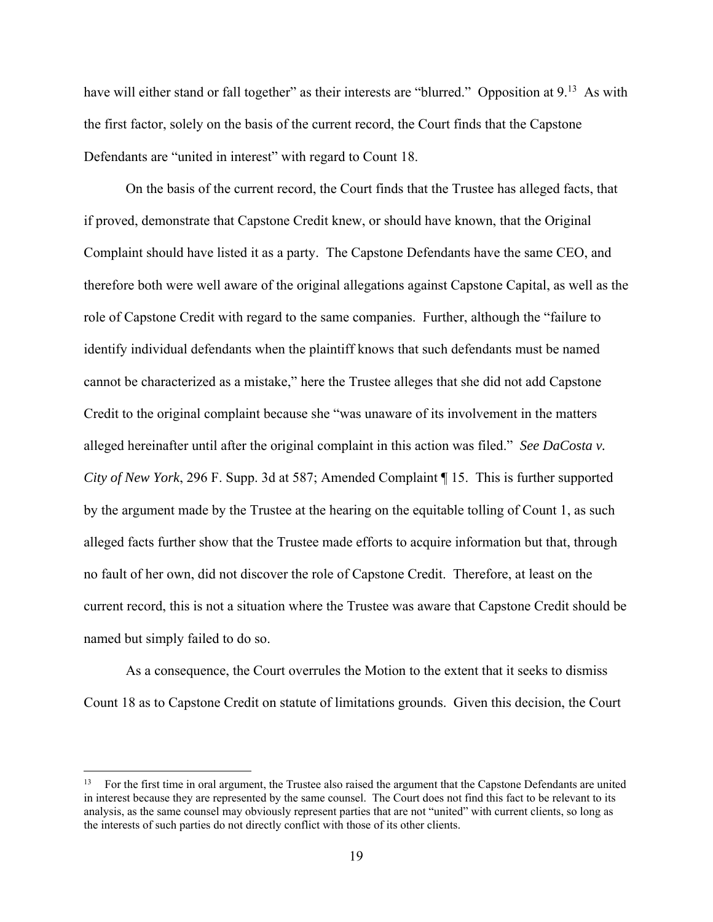have will either stand or fall together" as their interests are "blurred." Opposition at 9.<sup>13</sup> As with the first factor, solely on the basis of the current record, the Court finds that the Capstone Defendants are "united in interest" with regard to Count 18.

On the basis of the current record, the Court finds that the Trustee has alleged facts, that if proved, demonstrate that Capstone Credit knew, or should have known, that the Original Complaint should have listed it as a party. The Capstone Defendants have the same CEO, and therefore both were well aware of the original allegations against Capstone Capital, as well as the role of Capstone Credit with regard to the same companies. Further, although the "failure to identify individual defendants when the plaintiff knows that such defendants must be named cannot be characterized as a mistake," here the Trustee alleges that she did not add Capstone Credit to the original complaint because she "was unaware of its involvement in the matters alleged hereinafter until after the original complaint in this action was filed." *See DaCosta v. City of New York*, 296 F. Supp. 3d at 587; Amended Complaint ¶ 15. This is further supported by the argument made by the Trustee at the hearing on the equitable tolling of Count 1, as such alleged facts further show that the Trustee made efforts to acquire information but that, through no fault of her own, did not discover the role of Capstone Credit. Therefore, at least on the current record, this is not a situation where the Trustee was aware that Capstone Credit should be named but simply failed to do so.

As a consequence, the Court overrules the Motion to the extent that it seeks to dismiss Count 18 as to Capstone Credit on statute of limitations grounds. Given this decision, the Court

<sup>13</sup> For the first time in oral argument, the Trustee also raised the argument that the Capstone Defendants are united in interest because they are represented by the same counsel. The Court does not find this fact to be relevant to its analysis, as the same counsel may obviously represent parties that are not "united" with current clients, so long as the interests of such parties do not directly conflict with those of its other clients.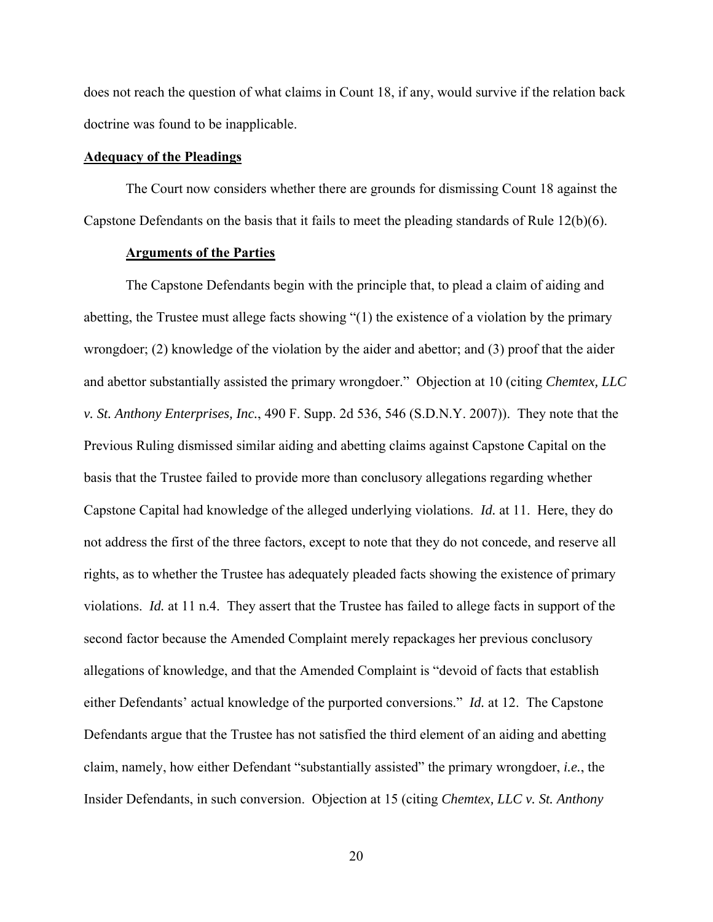does not reach the question of what claims in Count 18, if any, would survive if the relation back doctrine was found to be inapplicable.

### **Adequacy of the Pleadings**

 The Court now considers whether there are grounds for dismissing Count 18 against the Capstone Defendants on the basis that it fails to meet the pleading standards of Rule  $12(b)(6)$ .

## **Arguments of the Parties**

The Capstone Defendants begin with the principle that, to plead a claim of aiding and abetting, the Trustee must allege facts showing "(1) the existence of a violation by the primary wrongdoer; (2) knowledge of the violation by the aider and abettor; and (3) proof that the aider and abettor substantially assisted the primary wrongdoer." Objection at 10 (citing *Chemtex, LLC v. St. Anthony Enterprises, Inc.*, 490 F. Supp. 2d 536, 546 (S.D.N.Y. 2007)). They note that the Previous Ruling dismissed similar aiding and abetting claims against Capstone Capital on the basis that the Trustee failed to provide more than conclusory allegations regarding whether Capstone Capital had knowledge of the alleged underlying violations. *Id.* at 11. Here, they do not address the first of the three factors, except to note that they do not concede, and reserve all rights, as to whether the Trustee has adequately pleaded facts showing the existence of primary violations. *Id.* at 11 n.4. They assert that the Trustee has failed to allege facts in support of the second factor because the Amended Complaint merely repackages her previous conclusory allegations of knowledge, and that the Amended Complaint is "devoid of facts that establish either Defendants' actual knowledge of the purported conversions." *Id.* at 12. The Capstone Defendants argue that the Trustee has not satisfied the third element of an aiding and abetting claim, namely, how either Defendant "substantially assisted" the primary wrongdoer, *i.e.*, the Insider Defendants, in such conversion. Objection at 15 (citing *Chemtex, LLC v. St. Anthony*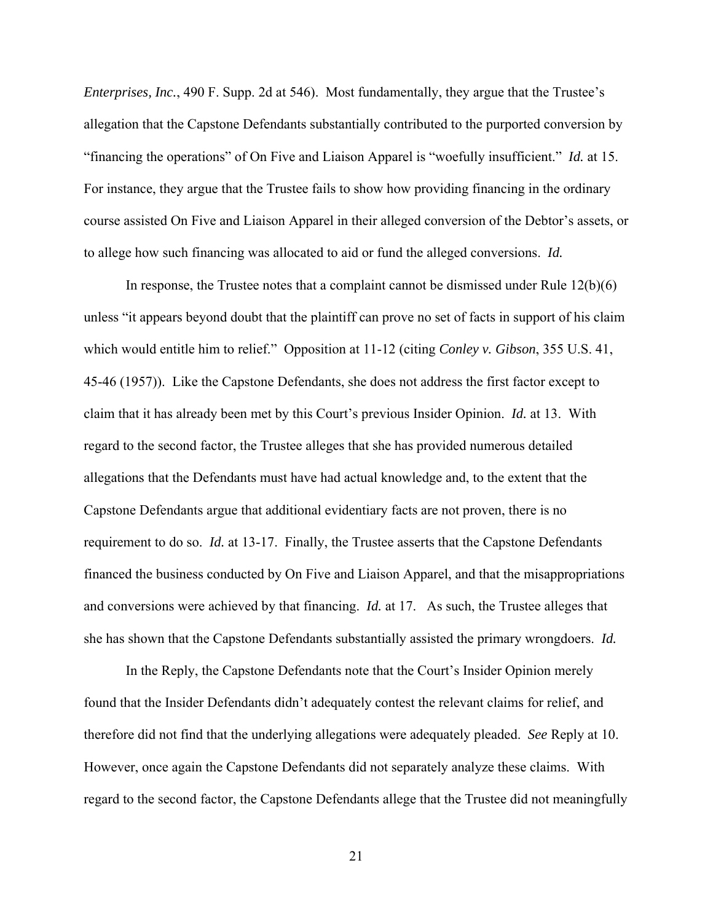*Enterprises, Inc.*, 490 F. Supp. 2d at 546). Most fundamentally, they argue that the Trustee's allegation that the Capstone Defendants substantially contributed to the purported conversion by "financing the operations" of On Five and Liaison Apparel is "woefully insufficient." *Id.* at 15. For instance, they argue that the Trustee fails to show how providing financing in the ordinary course assisted On Five and Liaison Apparel in their alleged conversion of the Debtor's assets, or to allege how such financing was allocated to aid or fund the alleged conversions. *Id.* 

In response, the Trustee notes that a complaint cannot be dismissed under Rule 12(b)(6) unless "it appears beyond doubt that the plaintiff can prove no set of facts in support of his claim which would entitle him to relief." Opposition at 11-12 (citing *Conley v. Gibson*, 355 U.S. 41, 45-46 (1957)). Like the Capstone Defendants, she does not address the first factor except to claim that it has already been met by this Court's previous Insider Opinion. *Id.* at 13. With regard to the second factor, the Trustee alleges that she has provided numerous detailed allegations that the Defendants must have had actual knowledge and, to the extent that the Capstone Defendants argue that additional evidentiary facts are not proven, there is no requirement to do so. *Id.* at 13-17. Finally, the Trustee asserts that the Capstone Defendants financed the business conducted by On Five and Liaison Apparel, and that the misappropriations and conversions were achieved by that financing. *Id.* at 17. As such, the Trustee alleges that she has shown that the Capstone Defendants substantially assisted the primary wrongdoers. *Id.*

In the Reply, the Capstone Defendants note that the Court's Insider Opinion merely found that the Insider Defendants didn't adequately contest the relevant claims for relief, and therefore did not find that the underlying allegations were adequately pleaded. *See* Reply at 10. However, once again the Capstone Defendants did not separately analyze these claims. With regard to the second factor, the Capstone Defendants allege that the Trustee did not meaningfully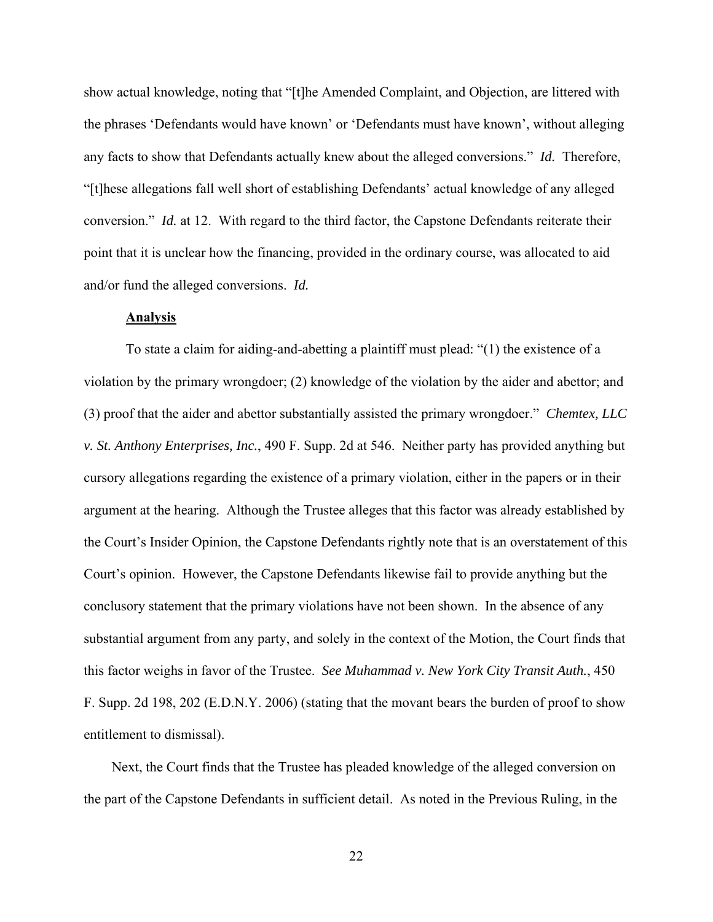show actual knowledge, noting that "[t]he Amended Complaint, and Objection, are littered with the phrases 'Defendants would have known' or 'Defendants must have known', without alleging any facts to show that Defendants actually knew about the alleged conversions." *Id.* Therefore, "[t]hese allegations fall well short of establishing Defendants' actual knowledge of any alleged conversion." *Id.* at 12. With regard to the third factor, the Capstone Defendants reiterate their point that it is unclear how the financing, provided in the ordinary course, was allocated to aid and/or fund the alleged conversions. *Id.*

### **Analysis**

To state a claim for aiding-and-abetting a plaintiff must plead: "(1) the existence of a violation by the primary wrongdoer; (2) knowledge of the violation by the aider and abettor; and (3) proof that the aider and abettor substantially assisted the primary wrongdoer." *Chemtex, LLC v. St. Anthony Enterprises, Inc.*, 490 F. Supp. 2d at 546. Neither party has provided anything but cursory allegations regarding the existence of a primary violation, either in the papers or in their argument at the hearing. Although the Trustee alleges that this factor was already established by the Court's Insider Opinion, the Capstone Defendants rightly note that is an overstatement of this Court's opinion. However, the Capstone Defendants likewise fail to provide anything but the conclusory statement that the primary violations have not been shown. In the absence of any substantial argument from any party, and solely in the context of the Motion, the Court finds that this factor weighs in favor of the Trustee. *See Muhammad v. New York City Transit Auth.*, 450 F. Supp. 2d 198, 202 (E.D.N.Y. 2006) (stating that the movant bears the burden of proof to show entitlement to dismissal).

Next, the Court finds that the Trustee has pleaded knowledge of the alleged conversion on the part of the Capstone Defendants in sufficient detail. As noted in the Previous Ruling, in the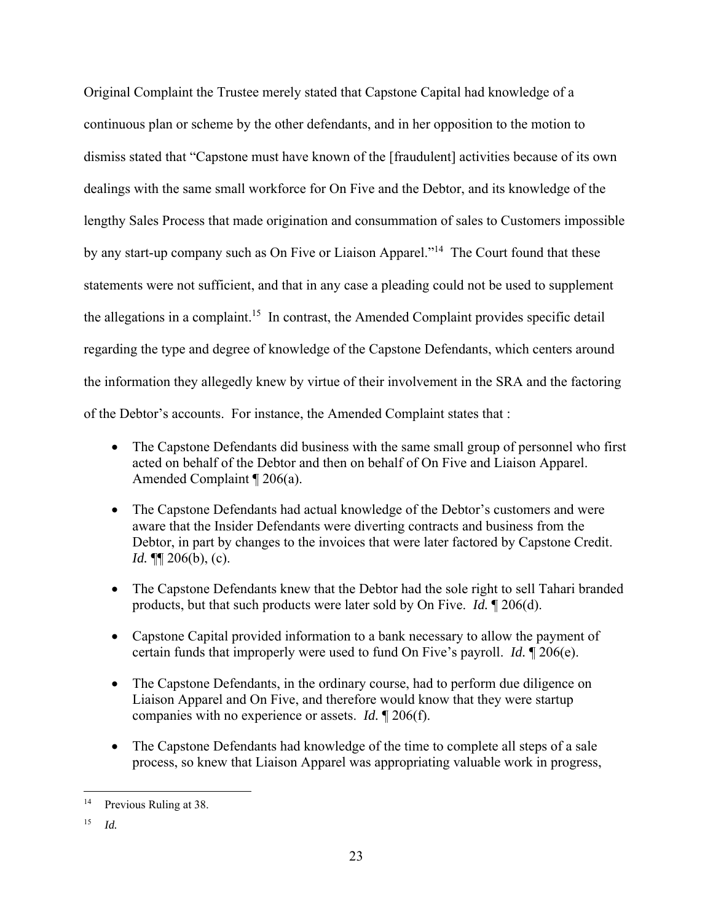Original Complaint the Trustee merely stated that Capstone Capital had knowledge of a continuous plan or scheme by the other defendants, and in her opposition to the motion to dismiss stated that "Capstone must have known of the [fraudulent] activities because of its own dealings with the same small workforce for On Five and the Debtor, and its knowledge of the lengthy Sales Process that made origination and consummation of sales to Customers impossible by any start-up company such as On Five or Liaison Apparel."<sup>14</sup> The Court found that these statements were not sufficient, and that in any case a pleading could not be used to supplement the allegations in a complaint.<sup>15</sup> In contrast, the Amended Complaint provides specific detail regarding the type and degree of knowledge of the Capstone Defendants, which centers around the information they allegedly knew by virtue of their involvement in the SRA and the factoring of the Debtor's accounts. For instance, the Amended Complaint states that :

- The Capstone Defendants did business with the same small group of personnel who first acted on behalf of the Debtor and then on behalf of On Five and Liaison Apparel. Amended Complaint ¶ 206(a).
- The Capstone Defendants had actual knowledge of the Debtor's customers and were aware that the Insider Defendants were diverting contracts and business from the Debtor, in part by changes to the invoices that were later factored by Capstone Credit. *Id.* ¶¶ 206(b), (c).
- The Capstone Defendants knew that the Debtor had the sole right to sell Tahari branded products, but that such products were later sold by On Five. *Id.* ¶ 206(d).
- Capstone Capital provided information to a bank necessary to allow the payment of certain funds that improperly were used to fund On Five's payroll. *Id.* ¶ 206(e).
- The Capstone Defendants, in the ordinary course, had to perform due diligence on Liaison Apparel and On Five, and therefore would know that they were startup companies with no experience or assets. *Id.* ¶ 206(f).
- The Capstone Defendants had knowledge of the time to complete all steps of a sale process, so knew that Liaison Apparel was appropriating valuable work in progress,

<sup>&</sup>lt;sup>14</sup> Previous Ruling at 38.

<sup>15</sup> *Id.*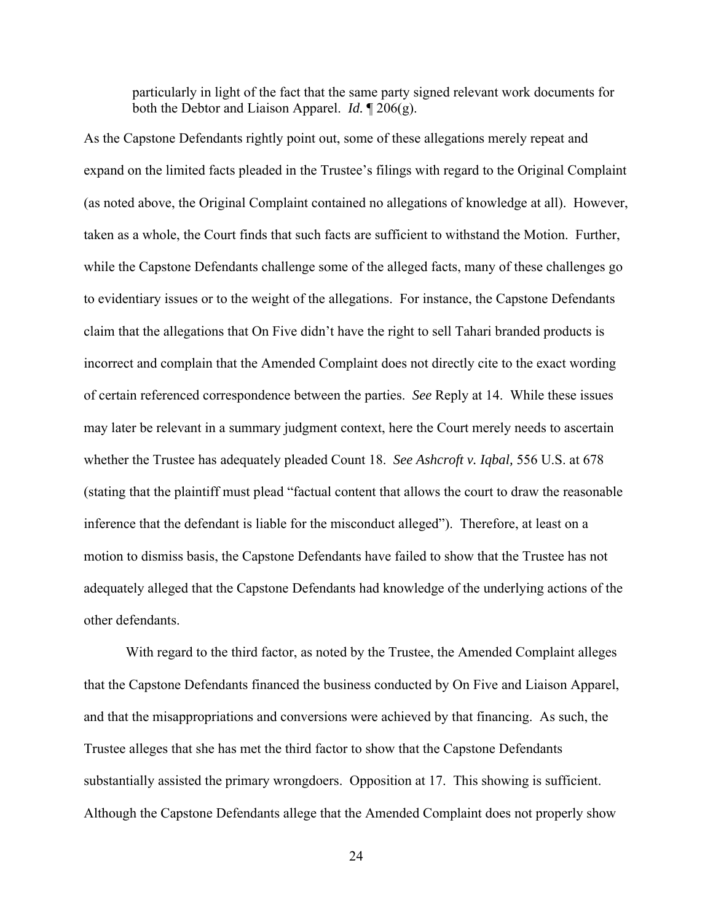particularly in light of the fact that the same party signed relevant work documents for both the Debtor and Liaison Apparel. *Id.* ¶ 206(g).

As the Capstone Defendants rightly point out, some of these allegations merely repeat and expand on the limited facts pleaded in the Trustee's filings with regard to the Original Complaint (as noted above, the Original Complaint contained no allegations of knowledge at all). However, taken as a whole, the Court finds that such facts are sufficient to withstand the Motion. Further, while the Capstone Defendants challenge some of the alleged facts, many of these challenges go to evidentiary issues or to the weight of the allegations. For instance, the Capstone Defendants claim that the allegations that On Five didn't have the right to sell Tahari branded products is incorrect and complain that the Amended Complaint does not directly cite to the exact wording of certain referenced correspondence between the parties. *See* Reply at 14. While these issues may later be relevant in a summary judgment context, here the Court merely needs to ascertain whether the Trustee has adequately pleaded Count 18. *See Ashcroft v. Iqbal,* 556 U.S. at 678 (stating that the plaintiff must plead "factual content that allows the court to draw the reasonable inference that the defendant is liable for the misconduct alleged"). Therefore, at least on a motion to dismiss basis, the Capstone Defendants have failed to show that the Trustee has not adequately alleged that the Capstone Defendants had knowledge of the underlying actions of the other defendants.

With regard to the third factor, as noted by the Trustee, the Amended Complaint alleges that the Capstone Defendants financed the business conducted by On Five and Liaison Apparel, and that the misappropriations and conversions were achieved by that financing. As such, the Trustee alleges that she has met the third factor to show that the Capstone Defendants substantially assisted the primary wrongdoers. Opposition at 17. This showing is sufficient. Although the Capstone Defendants allege that the Amended Complaint does not properly show